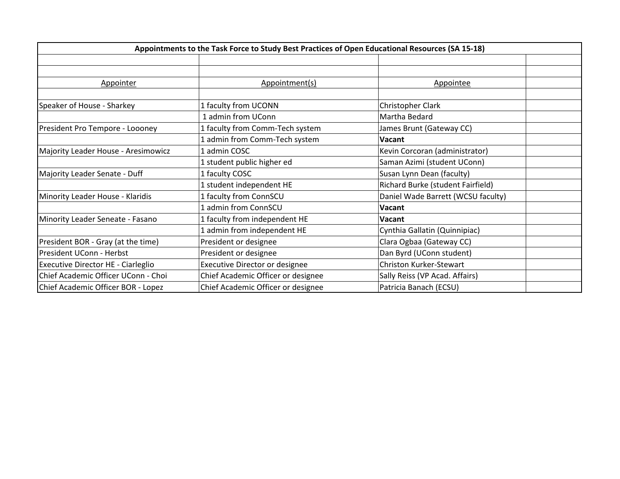| Appointments to the Task Force to Study Best Practices of Open Educational Resources (SA 15-18) |                                    |                                    |  |
|-------------------------------------------------------------------------------------------------|------------------------------------|------------------------------------|--|
|                                                                                                 |                                    |                                    |  |
|                                                                                                 |                                    |                                    |  |
| Appointer                                                                                       | Appointment(s)                     | Appointee                          |  |
|                                                                                                 |                                    |                                    |  |
| Speaker of House - Sharkey                                                                      | 1 faculty from UCONN               | Christopher Clark                  |  |
|                                                                                                 | 1 admin from UConn                 | Martha Bedard                      |  |
| President Pro Tempore - Loooney                                                                 | 1 faculty from Comm-Tech system    | James Brunt (Gateway CC)           |  |
|                                                                                                 | 1 admin from Comm-Tech system      | <b>Vacant</b>                      |  |
| Majority Leader House - Aresimowicz                                                             | 1 admin COSC                       | Kevin Corcoran (administrator)     |  |
|                                                                                                 | 1 student public higher ed         | Saman Azimi (student UConn)        |  |
| Majority Leader Senate - Duff                                                                   | 1 faculty COSC                     | Susan Lynn Dean (faculty)          |  |
|                                                                                                 | 1 student independent HE           | Richard Burke (student Fairfield)  |  |
| Minority Leader House - Klaridis                                                                | 1 faculty from ConnSCU             | Daniel Wade Barrett (WCSU faculty) |  |
|                                                                                                 | 1 admin from ConnSCU               | Vacant                             |  |
| Minority Leader Seneate - Fasano                                                                | 1 faculty from independent HE      | Vacant                             |  |
|                                                                                                 | 1 admin from independent HE        | Cynthia Gallatin (Quinnipiac)      |  |
| President BOR - Gray (at the time)                                                              | President or designee              | Clara Ogbaa (Gateway CC)           |  |
| President UConn - Herbst                                                                        | President or designee              | Dan Byrd (UConn student)           |  |
| Executive Director HE - Ciarleglio                                                              | Executive Director or designee     | Christon Kurker-Stewart            |  |
| Chief Academic Officer UConn - Choi                                                             | Chief Academic Officer or designee | Sally Reiss (VP Acad. Affairs)     |  |
| Chief Academic Officer BOR - Lopez                                                              | Chief Academic Officer or designee | Patricia Banach (ECSU)             |  |